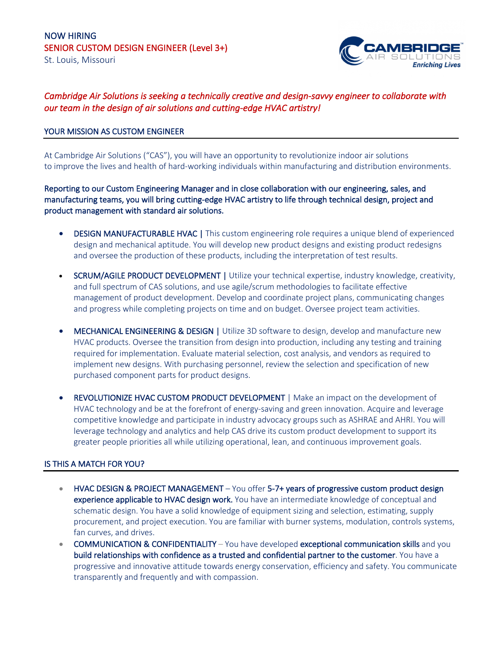

# *Cambridge Air Solutions is seeking a technically creative and design-savvy engineer to collaborate with our team in the design of air solutions and cutting-edge HVAC artistry!*

## YOUR MISSION AS CUSTOM ENGINEER

At Cambridge Air Solutions ("CAS"), you will have an opportunity to revolutionize indoor air solutions to improve the lives and health of hard-working individuals within manufacturing and distribution environments.

Reporting to our Custom Engineering Manager and in close collaboration with our engineering, sales, and manufacturing teams, you will bring cutting-edge HVAC artistry to life through technical design, project and product management with standard air solutions.

- DESIGN MANUFACTURABLE HVAC | This custom engineering role requires a unique blend of experienced design and mechanical aptitude. You will develop new product designs and existing product redesigns and oversee the production of these products, including the interpretation of test results.
- SCRUM/AGILE PRODUCT DEVELOPMENT | Utilize your technical expertise, industry knowledge, creativity, and full spectrum of CAS solutions, and use agile/scrum methodologies to facilitate effective management of product development. Develop and coordinate project plans, communicating changes and progress while completing projects on time and on budget. Oversee project team activities.
- MECHANICAL ENGINEERING & DESIGN | Utilize 3D software to design, develop and manufacture new HVAC products. Oversee the transition from design into production, including any testing and training required for implementation. Evaluate material selection, cost analysis, and vendors as required to implement new designs. With purchasing personnel, review the selection and specification of new purchased component parts for product designs.
- REVOLUTIONIZE HVAC CUSTOM PRODUCT DEVELOPMENT | Make an impact on the development of HVAC technology and be at the forefront of energy-saving and green innovation. Acquire and leverage competitive knowledge and participate in industry advocacy groups such as ASHRAE and AHRI. You will leverage technology and analytics and help CAS drive its custom product development to support its greater people priorities all while utilizing operational, lean, and continuous improvement goals.

## IS THIS A MATCH FOR YOU?

- HVAC DESIGN & PROJECT MANAGEMENT You offer 5-7+ years of progressive custom product design experience applicable to HVAC design work. You have an intermediate knowledge of conceptual and schematic design. You have a solid knowledge of equipment sizing and selection, estimating, supply procurement, and project execution. You are familiar with burner systems, modulation, controls systems, fan curves, and drives.
- COMMUNICATION & CONFIDENTIALITY You have developed exceptional communication skills and you build relationships with confidence as a trusted and confidential partner to the customer. You have a progressive and innovative attitude towards energy conservation, efficiency and safety. You communicate transparently and frequently and with compassion.